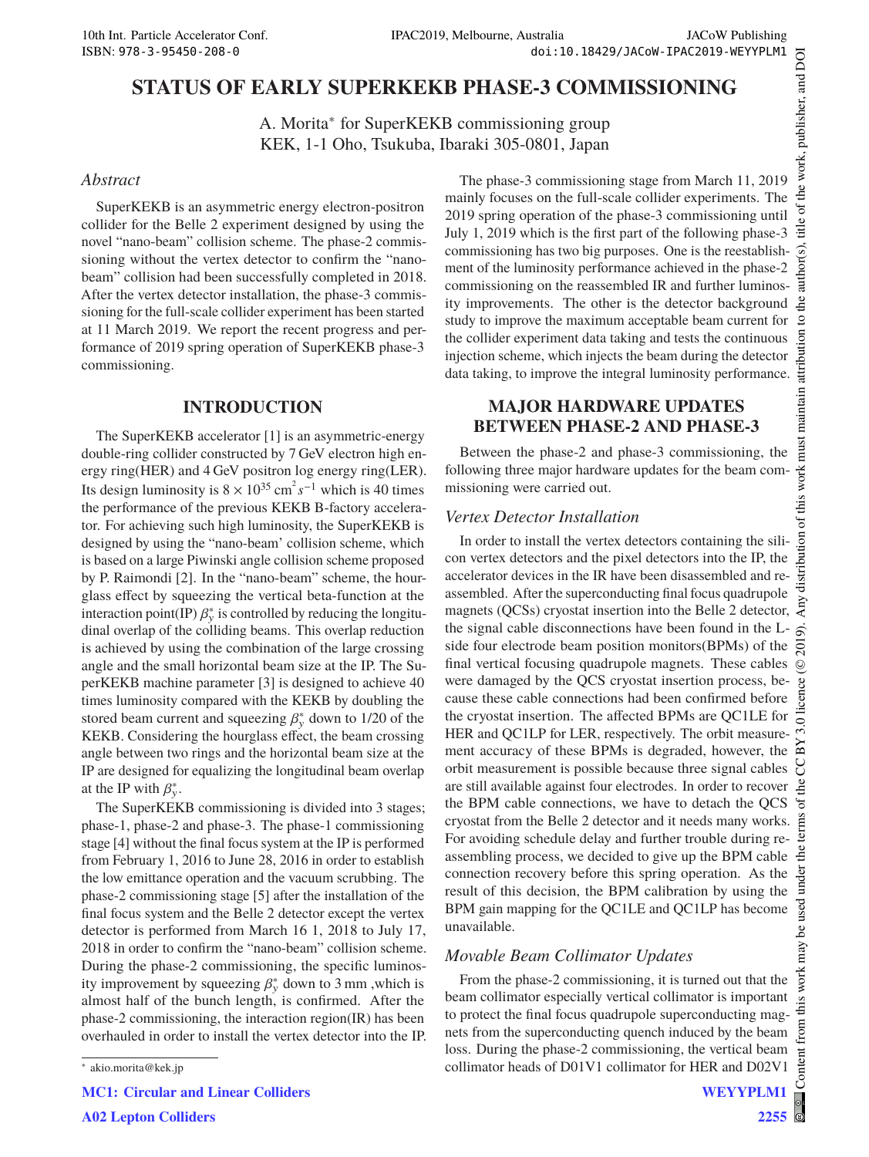# **STATUS OF EARLY SUPERKEKB PHASE-3 COMMISSIONING**

A. Morita<sup>∗</sup> for SuperKEKB commissioning group KEK, 1-1 Oho, Tsukuba, Ibaraki 305-0801, Japan

### *Abstract*

SuperKEKB is an asymmetric energy electron-positron collider for the Belle 2 experiment designed by using the novel "nano-beam" collision scheme. The phase-2 commissioning without the vertex detector to confirm the "nanobeam" collision had been successfully completed in 2018. After the vertex detector installation, the phase-3 commissioning for the full-scale collider experiment has been started at 11 March 2019. We report the recent progress and performance of 2019 spring operation of SuperKEKB phase-3 commissioning.

## **INTRODUCTION**

The SuperKEKB accelerator [1] is an asymmetric-energy double-ring collider constructed by 7 GeV electron high energy ring(HER) and 4 GeV positron log energy ring(LER). Its design luminosity is  $8 \times 10^{35}$  cm<sup>2</sup> s<sup>-1</sup> which is 40 times the performance of the previous KEKB B-factory accelerator. For achieving such high luminosity, the SuperKEKB is designed by using the "nano-beam' collision scheme, which is based on a large Piwinski angle collision scheme proposed by P. Raimondi [2]. In the "nano-beam" scheme, the hourglass effect by squeezing the vertical beta-function at the interaction point(IP)  $\beta_{y}^{*}$  is controlled by reducing the longitudinal overlap of the colliding beams. This overlap reduction is achieved by using the combination of the large crossing angle and the small horizontal beam size at the IP. The SuperKEKB machine parameter [3] is designed to achieve 40 times luminosity compared with the KEKB by doubling the stored beam current and squeezing  $\beta_{y}^{*}$  down to 1/20 of the KEKB. Considering the hourglass effect, the beam crossing angle between two rings and the horizontal beam size at the IP are designed for equalizing the longitudinal beam overlap at the IP with  $\beta_{y}^{*}$ .

The SuperKEKB commissioning is divided into 3 stages; phase-1, phase-2 and phase-3. The phase-1 commissioning stage [4] without the final focus system at the IP is performed from February 1, 2016 to June 28, 2016 in order to establish the low emittance operation and the vacuum scrubbing. The phase-2 commissioning stage [5] after the installation of the final focus system and the Belle 2 detector except the vertex detector is performed from March 16 1, 2018 to July 17, 2018 in order to confirm the "nano-beam" collision scheme. During the phase-2 commissioning, the specific luminosity improvement by squeezing  $\beta_{y}^{*}$  down to 3 mm, which is almost half of the bunch length, is confirmed. After the phase-2 commissioning, the interaction region(IR) has been overhauled in order to install the vertex detector into the IP.

**MC1: Circular and Linear Colliders**

**A02 Lepton Colliders**

the work, publisher, and DOI The phase-3 commissioning stage from March 11, 2019 mainly focuses on the full-scale collider experiments. The 2019 spring operation of the phase-3 commissioning until July 1, 2019 which is the first part of the following phase-3 玉 commissioning has two big purposes. One is the reestablishment of the luminosity performance achieved in the phase-2 commissioning on the reassembled IR and further luminos- $He$ ity improvements. The other is the detector background study to improve the maximum acceptable beam current for the collider experiment data taking and tests the continuous injection scheme, which injects the beam during the detector data taking, to improve the integral luminosity performance.

## **MAJOR HARDWARE UPDATES BETWEEN PHASE-2 AND PHASE-3**

Between the phase-2 and phase-3 commissioning, the following three major hardware updates for the beam commissioning were carried out.

## *Vertex Detector Installation*

In order to install the vertex detectors containing the silicon vertex detectors and the pixel detectors into the IP, the accelerator devices in the IR have been disassembled and reassembled. After the superconducting final focus quadrupole magnets (QCSs) cryostat insertion into the Belle 2 detector,  $\frac{1}{2}$ the signal cable disconnections have been found in the Lside four electrode beam position monitors(BPMs) of the final vertical focusing quadrupole magnets. These cables were damaged by the QCS cryostat insertion process, because these cable connections had been confirmed before the cryostat insertion. The affected BPMs are QC1LE for HER and QC1LP for LER, respectively. The orbit measurement accuracy of these BPMs is degraded, however, the orbit measurement is possible because three signal cables are still available against four electrodes. In order to recover the BPM cable connections, we have to detach the QCS cryostat from the Belle 2 detector and it needs many works. For avoiding schedule delay and further trouble during reassembling process, we decided to give up the BPM cable connection recovery before this spring operation. As the result of this decision, the BPM calibration by using the BPM gain mapping for the QC1LE and QC1LP has become unavailable.  $\odot$ 

## *Movable Beam Collimator Updates*

From the phase-2 commissioning, it is turned out that the beam collimator especially vertical collimator is important to protect the final focus quadrupole superconducting magnets from the superconducting quench induced by the beam loss. During the phase-2 commissioning, the vertical beam collimator heads of D01V1 collimator for HER and D02V1

2019). Any distribution of this work must maintain attribution to the author(s), title of the work, publisher, and DOI

maintain

ion of this work must

 $\bar{\rm s}$ 

J

author(s)

 $\mathbf{S}$ bution attri

<sup>∗</sup> akio.morita@kek.jp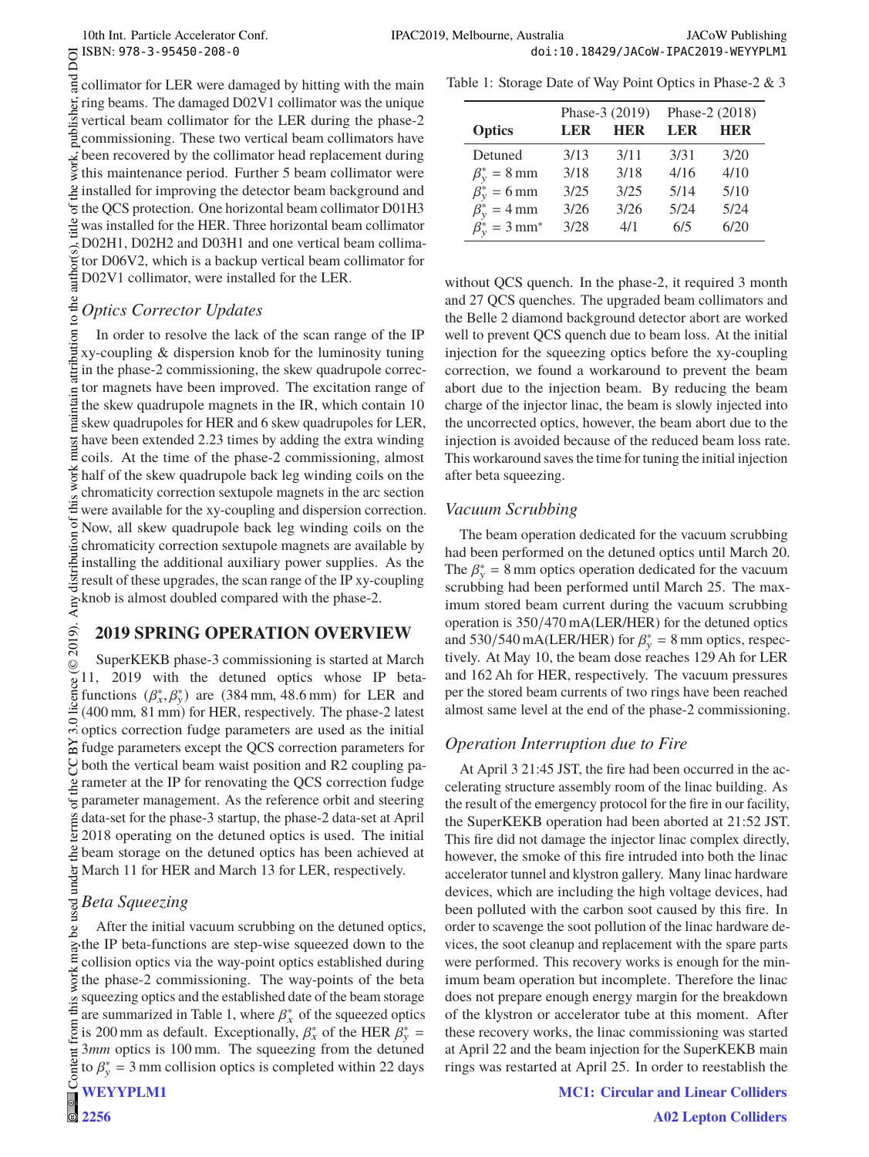аid collimator for LER were damaged by hitting with the main publisher, ring beams. The damaged D02V1 collimator was the unique vertical beam collimator for the LER during the phase-2 commissioning. These two vertical beam collimators have been recovered by the collimator head replacement during this maintenance period. Further 5 beam collimator were installed for improving the detector beam background and the QCS protection. One horizontal beam collimator D01H3  $\frac{1}{24}$  was installed for the HER. Three horizontal beam collimator D02H1, D02H2 and D03H1 and one vertical beam collimaauthor( tor D06V2, which is a backup vertical beam collimator for D02V1 collimator, were installed for the LER.

#### to the *Optics Corrector Updates*

 $\odot$  2019). Any distribution of this work must maintain attribution to the author(s), title of the work, publisher, and DOI  $\odot$  DOI  $\odot$  DOI  $\odot$  D  $\ddot{\circ}$  D  $\ddot{\circ}$  D  $\ddot{\circ}$  D  $\ddot{\circ}$  D  $\ddot{\circ}$  D  $\ddot{\circ}$  D  $\$ ibution In order to resolve the lack of the scan range of the IP xy-coupling & dispersion knob for the luminosity tuning in the phase-2 commissioning, the skew quadrupole corrector magnets have been improved. The excitation range of intain the skew quadrupole magnets in the IR, which contain 10  $\mathbb{E}$  skew quadrupoles for HER and 6 skew quadrupoles for LER, have been extended 2.23 times by adding the extra winding  $\vec{E}$ coils. At the time of the phase-2 commissioning, almost  $\tilde{\xi}$  half of the skew quadrupole back leg winding coils on the chromaticity correction sextupole magnets in the arc section € were available for the xy-coupling and dispersion correction. ್ Now, all skew quadrupole back leg winding coils on the distribution chromaticity correction sextupole magnets are available by installing the additional auxiliary power supplies. As the result of these upgrades, the scan range of the IP xy-coupling  $\sum_{k=1}^{\infty}$  knob is almost doubled compared with the phase-2.

## **2019 SPRING OPERATION OVERVIEW**

2019). SuperKEKB phase-3 commissioning is started at March ©Content from this work may be used under the terms of the CC BY 3.0 licence ( $\epsilon$ 11, 2019 with the detuned optics whose IP betalicence functions  $(\beta_x^*, \beta_y^*)$  are  $(384 \text{ mm}, 48.6 \text{ mm})$  for LER and (400 mm, 81 mm) for HER, respectively. The phase-2 latest  $\frac{1}{\infty}$  (FOO nmn, 0.1 nml) correction fudge parameters are used as the initial fudge parameters except the QCS correction parameters for  $\frac{1}{2}$  both the vertical beam waist position and R2 coupling parameter at the IP for renovating the QCS correction fudge  $\overline{B}$  parameter management. As the reference orbit and steering data-set for the phase-3 startup, the phase-2 data-set at April  $\frac{5}{2}$  2018 operating on the detuned optics is used. The initial beam storage on the detuned optics has been achieved at under March 11 for HER and March 13 for LER, respectively.

#### **used** *Beta Squeezing*

After the initial vacuum scrubbing on the detuned optics, ತಿ the IP beta-functions are step-wise squeezed down to the collision optics via the way-point optics established during the phase-2 commissioning. The way-points of the beta squeezing optics and the established date of the beam storage are summarized in Table 1, where  $\beta_x^*$  of the squeezed optics is 200 mm as default. Exceptionally,  $\beta_x^*$  of the HER  $\beta_y^*$  = 3*mm* optics is 100 mm. The squeezing from the detuned ent to  $\beta_{y}^{*} = 3$  mm collision optics is completed within 22 days  $Cont$ **WEYYPLM1**

|                                     | Phase-3 (2019) |            | Phase-2 (2018) |            |
|-------------------------------------|----------------|------------|----------------|------------|
| <b>Optics</b>                       | LER            | <b>HER</b> | LER            | <b>HER</b> |
| Detuned                             | 3/13           | 3/11       | 3/31           | 3/20       |
| $\beta_{v}^{*} = 8$ mm              | 3/18           | 3/18       | 4/16           | 4/10       |
| $\beta_{v}^{*} = 6$ mm              | 3/25           | 3/25       | 5/14           | 5/10       |
| $\beta_{v}^{*} = 4$ mm              | 3/26           | 3/26       | 5/24           | 5/24       |
| $\beta_{v}^{*} = 3$ mm <sup>*</sup> | 3/28           | 4/1        | 6/5            | 6/20       |

without QCS quench. In the phase-2, it required 3 month and 27 QCS quenches. The upgraded beam collimators and the Belle 2 diamond background detector abort are worked well to prevent QCS quench due to beam loss. At the initial injection for the squeezing optics before the xy-coupling correction, we found a workaround to prevent the beam abort due to the injection beam. By reducing the beam charge of the injector linac, the beam is slowly injected into the uncorrected optics, however, the beam abort due to the injection is avoided because of the reduced beam loss rate. This workaround saves the time for tuning the initial injection after beta squeezing.

## *Vacuum Scrubbing*

The beam operation dedicated for the vacuum scrubbing had been performed on the detuned optics until March 20. The  $\beta_{y}^{*} = 8$  mm optics operation dedicated for the vacuum scrubbing had been performed until March 25. The maximum stored beam current during the vacuum scrubbing operation is 350/470 mA(LER/HER) for the detuned optics and 530/540 mA(LER/HER) for  $\beta_{y}^{*} = 8$  mm optics, respectively. At May 10, the beam dose reaches 129 Ah for LER and 162 Ah for HER, respectively. The vacuum pressures per the stored beam currents of two rings have been reached almost same level at the end of the phase-2 commissioning.

## *Operation Interruption due to Fire*

At April 3 21:45 JST, the fire had been occurred in the accelerating structure assembly room of the linac building. As the result of the emergency protocol for the fire in our facility, the SuperKEKB operation had been aborted at 21:52 JST. This fire did not damage the injector linac complex directly, however, the smoke of this fire intruded into both the linac accelerator tunnel and klystron gallery. Many linac hardware devices, which are including the high voltage devices, had been polluted with the carbon soot caused by this fire. In order to scavenge the soot pollution of the linac hardware devices, the soot cleanup and replacement with the spare parts were performed. This recovery works is enough for the minimum beam operation but incomplete. Therefore the linac does not prepare enough energy margin for the breakdown of the klystron or accelerator tube at this moment. After these recovery works, the linac commissioning was started at April 22 and the beam injection for the SuperKEKB main rings was restarted at April 25. In order to reestablish the

### **MC1: Circular and Linear Colliders**